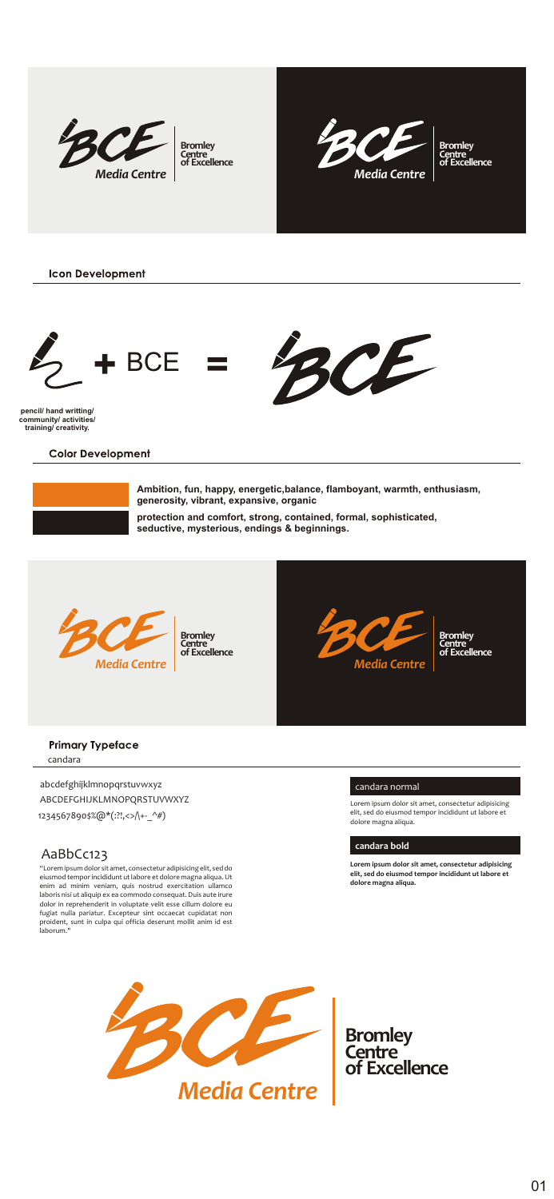







**training/ creativity.**

Color Development

**Ambition, fun, happy, energetic,balance, flamboyant, warmth, enthusiasm, generosity, vibrant, expansive, organic**

**protection and comfort, strong, contained, formal, sophisticated,** 

**seductive, mysterious, endings & beginnings.**





## Primary Typeface candara

abcdefghijklmnopqrstuvwxyz

ABCDEFGHUKLMNOPQRSTUVWXYZ 1234567890\$%@\*(:?!,<>/\+-\_^#)

## AaBbCc123

enim ad minim veniam, quis nostrud exercitation ullamco laboris nisi ut aliquip ex ea commodo consequat. Duis aute irure dolor in reprehenderit in voluptate velit esse cillum dolore eu fugiat nulla pariatur. Excepteur sint occaecat cupidatat non proident, sunt in culpa qui officia deserunt mollit anim id est

## **candara bold**

**Lorem ipsum dolor sit amet, consectetur adipisicing elit, sed do eiusmod tempor incididunt ut labore et** 



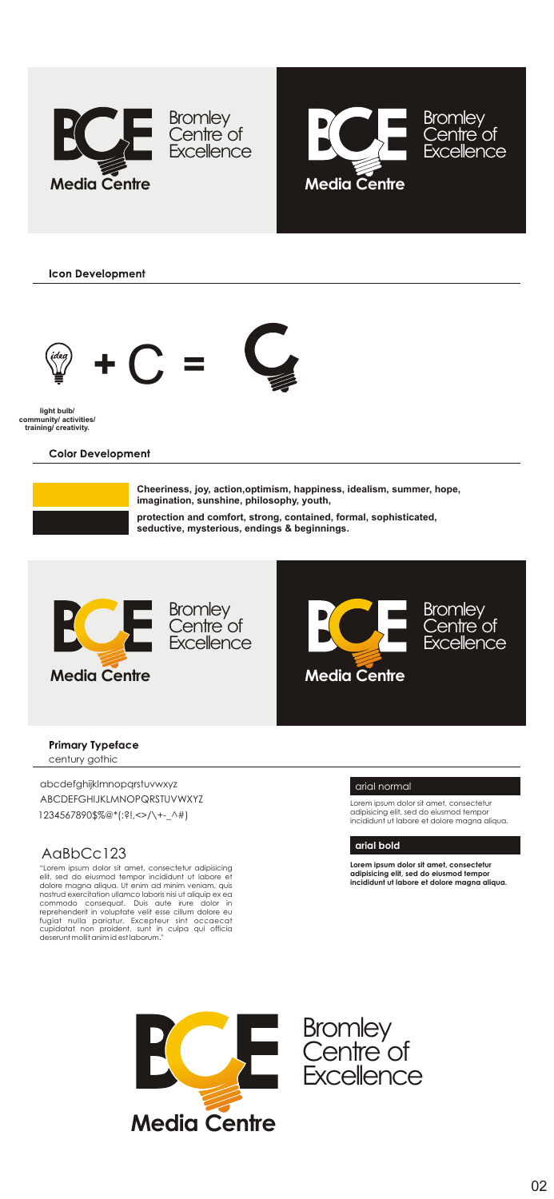







**light bulb/ community/ activities/ training/ creativity.**

Color Development

**Cheeriness, joy, action,optimism, happiness, idealism, summer, hope, imagination, sunshine, philosophy, youth,**

**protection and comfort, strong, contained, formal, sophisticated,** 

**seductive, mysterious, endings & beginnings.**







## Primary Typeface

entury gothi

abcdefghijklmnopqrstuvwxyz

ABCDEFGHIJKLMNOPQRSTUVWXYZ 1234567890\$%@\*(:?!,<>/\+-\_^#)

## AaBbCc123

"Lorem ipsum dolor sit amet, consectetur adipisicing elit, sed do eiusmod tempor incididunt ut labore et dolore magna aliqua. Ut enim ad minim veniam, quis nostrud exercitation ullamco laboris nisi ut aliquip ex ea commodo consequat. Duis aute irure dolor in reprehenderit in voluptate velit esse cillum dolore eu<br>fugiat nulla proident, Excepteur sint occaecat<br>cupidatat non proident, sunt in culpa qui officia<br>deserunt mollit animalis sullature."

### arial normal

### **arial bold**

**Lorem ipsum dolor sit amet, consectetur adipisicing elit, sed do eiusmod tempor incididunt ut labore et dolore magna aliqua.**



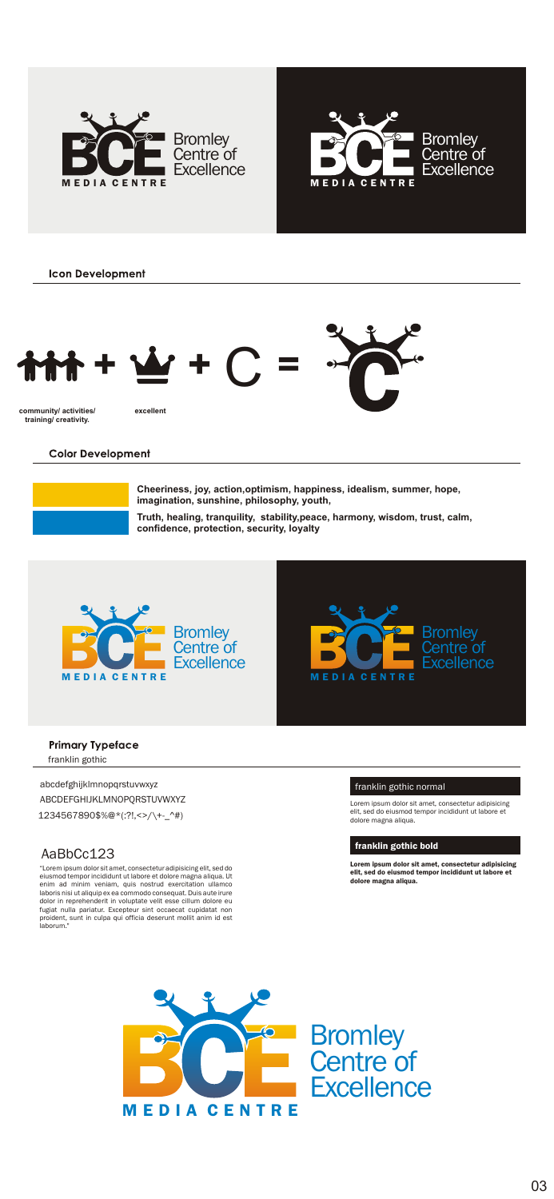





Color Development

**Truth, healing, tranquility, stability,peace, harmony, wisdom, trust, calm, confidence, protection, security, loyalty Cheeriness, joy, action,optimism, happiness, idealism, summer, hope, imagination, sunshine, philosophy, youth,**





# Primary Typeface

franklin gothic

abcdefghijklmnopqrstuvwxyz

ABCDEFGHIJKLMNOPQRSTUVWXYZ 1234567890\$%@\*(:?!,<>/\+-\_^#)

# AaBbCc123

stavnoś krepo koládzetat klase stali se napravina (krepo)<br>politika (zakladajúcia zakladajúcia politika)<br>klasky stalidajúcia nazovaná nemenjali Dán politika<br>dalo je neprhenání (z mladale velil manus) koládzi na<br>halal vala n

franklin gothic normal

franklin gothic bold

Lorem ipsum dolor sit amet, consectetur adipisicing elit, sed do eiusmod tempor incididunt ut labore et